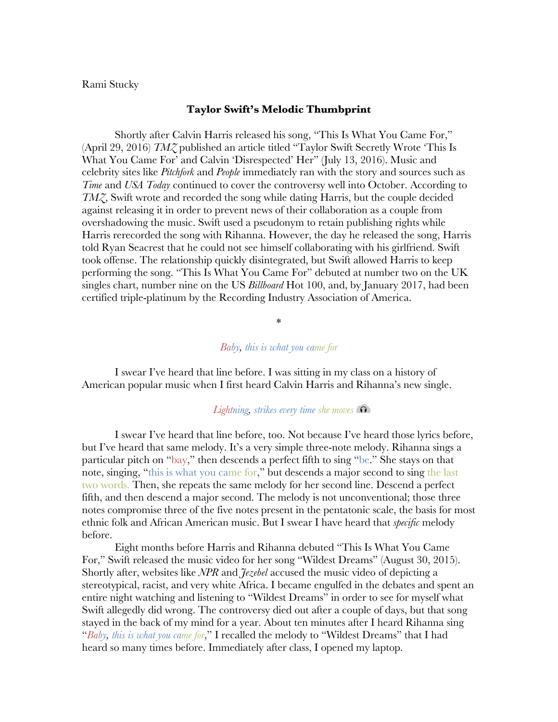# Rami Stucky

#### **Taylor Swift's Melodic Thumbprint**

Shortly after Calvin Harris released his song, "This Is What You Came For," (April 29, 2016) *TMZ* published an article titled "Taylor Swift Secretly Wrote 'This Is What You Came For' and Calvin 'Disrespected' Her" (July 13, 2016). Music and celebrity sites like *Pitchfork* and *People* immediately ran with the story and sources such as *Time* and *USA Today* continued to cover the controversy well into October. According to *TMZ*, Swift wrote and recorded the song while dating Harris, but the couple decided against releasing it in order to prevent news of their collaboration as a couple from overshadowing the music. Swift used a pseudonym to retain publishing rights while Harris rerecorded the song with Rihanna. However, the day he released the song, Harris told Ryan Seacrest that he could not see himself collaborating with his girlfriend. Swift took offense. The relationship quickly disintegrated, but Swift allowed Harris to keep performing the song. "This Is What You Came For" debuted at number two on the UK singles chart, number nine on the US *Billboard* Hot 100, and, by January 2017, had been certified triple-platinum by the Recording Industry Association of America.

# *Baby, this is what you came for*

\*

I swear I've heard that line before. I was sitting in my class on a history of American popular music when I first heard Calvin Harris and Rihanna's new single.

### *Lightning, strikes every time she moves*

I swear I've heard that line before, too. Not because I've heard those lyrics before, but I've heard that same melody. It's a very simple three-note melody. Rihanna sings a particular pitch on "bay," then descends a perfect fifth to sing "be." She stays on that note, singing, "this is what you came for," but descends a major second to sing the last two words. Then, she repeats the same melody for her second line. Descend a perfect fifth, and then descend a major second. The melody is not unconventional; those three notes compromise three of the five notes present in the pentatonic scale, the basis for most ethnic folk and African American music. But I swear I have heard that *specific* melody before.

Eight months before Harris and Rihanna debuted "This Is What You Came For," Swift released the music video for her song "Wildest Dreams" (August 30, 2015). Shortly after, websites like *NPR* and *Jezebel* accused the music video of depicting a stereotypical, racist, and very white Africa. I became engulfed in the debates and spent an entire night watching and listening to "Wildest Dreams" in order to see for myself what Swift allegedly did wrong. The controversy died out after a couple of days, but that song stayed in the back of my mind for a year. About ten minutes after I heard Rihanna sing "*Baby, this is what you came for*," I recalled the melody to "Wildest Dreams" that I had heard so many times before. Immediately after class, I opened my laptop.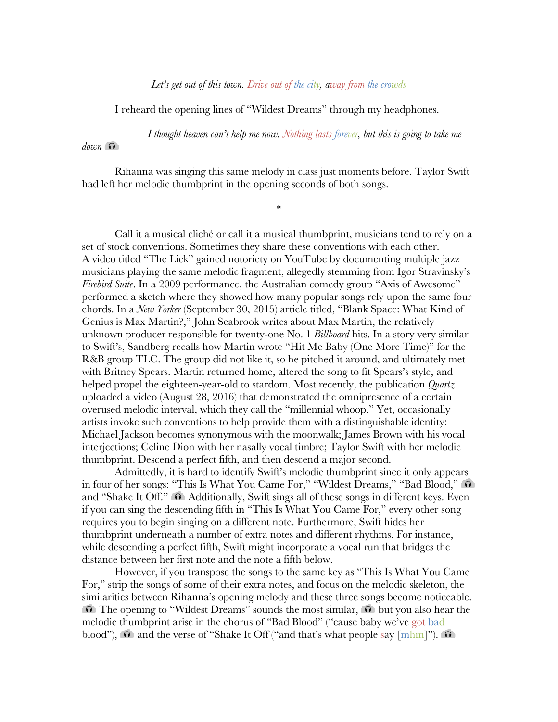#### *Let's get out of this town. Drive out of the city, away from the crowds*

I reheard the opening lines of "Wildest Dreams" through my headphones.

*I thought heaven can't help me now. Nothing lasts forever, but this is going to take me* 

*down*

Rihanna was singing this same melody in class just moments before. Taylor Swift had left her melodic thumbprint in the opening seconds of both songs.

\*

Call it a musical cliché or call it a musical thumbprint, musicians tend to rely on a set of stock conventions. Sometimes they share these conventions with each other. A video titled "The Lick" gained notoriety on YouTube by documenting multiple jazz musicians playing the same melodic fragment, allegedly stemming from Igor Stravinsky's *Firebird Suite*. In a 2009 performance, the Australian comedy group "Axis of Awesome" performed a sketch where they showed how many popular songs rely upon the same four chords. In a *New Yorker* (September 30, 2015) article titled, "Blank Space: What Kind of Genius is Max Martin?," John Seabrook writes about Max Martin, the relatively unknown producer responsible for twenty-one No. 1 *Billboard* hits. In a story very similar to Swift's, Sandberg recalls how Martin wrote "Hit Me Baby (One More Time)" for the R&B group TLC. The group did not like it, so he pitched it around, and ultimately met with Britney Spears. Martin returned home, altered the song to fit Spears's style, and helped propel the eighteen-year-old to stardom. Most recently, the publication *Quartz* uploaded a video (August 28, 2016) that demonstrated the omnipresence of a certain overused melodic interval, which they call the "millennial whoop." Yet, occasionally artists invoke such conventions to help provide them with a distinguishable identity: Michael Jackson becomes synonymous with the moonwalk; James Brown with his vocal interjections; Celine Dion with her nasally vocal timbre; Taylor Swift with her melodic thumbprint. Descend a perfect fifth, and then descend a major second.

Admittedly, it is hard to identify Swift's melodic thumbprint since it only appears in four of her songs: "This Is What You Came For," "Wildest Dreams," "Bad Blood," and "Shake It Off."  $\Omega$  Additionally, Swift sings all of these songs in different keys. Even if you can sing the descending fifth in "This Is What You Came For," every other song requires you to begin singing on a different note. Furthermore, Swift hides her thumbprint underneath a number of extra notes and different rhythms. For instance, while descending a perfect fifth, Swift might incorporate a vocal run that bridges the distance between her first note and the note a fifth below.

However, if you transpose the songs to the same key as "This Is What You Came For," strip the songs of some of their extra notes, and focus on the melodic skeleton, the similarities between Rihanna's opening melody and these three songs become noticeable.  $\Omega$  The opening to "Wildest Dreams" sounds the most similar,  $\Omega$  but you also hear the melodic thumbprint arise in the chorus of "Bad Blood" ("cause baby we've got bad blood"),  $\Omega$  and the verse of "Shake It Off ("and that's what people say  $[\text{mlm}]$ ").  $\Omega$